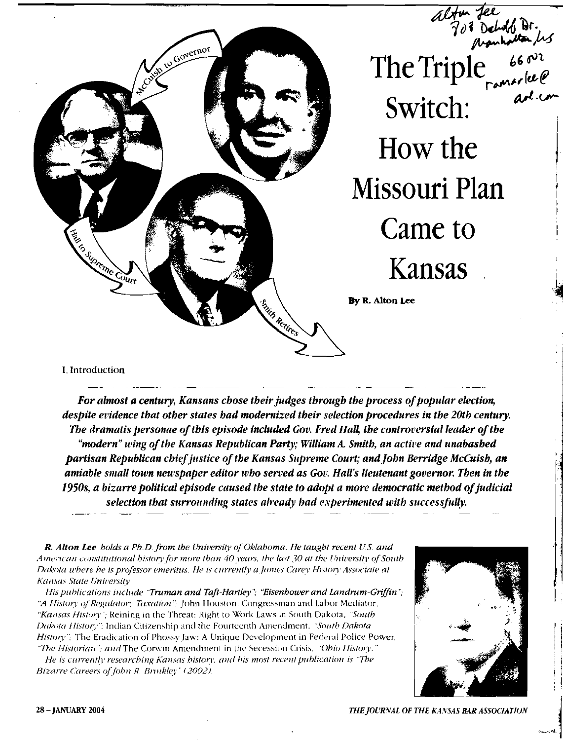

*For almost a century, Kansans chose their judges through the process of popular election, despite evidence that other states had modernized their selection procedures in the 20th century. The dramatis personae of this episode included Gov. Fred Hall, the controversial leader of the "modern" wing ofthe Kansas Republican Party; William A. Smith, an active and unabashed*  partisan Republican chief justice of the Kansas Supreme Court; and John Berridge McCuish, an *amiable small town newspaper editor who served as Got: Hall's lieutenant governor. Then in the*  1950s, a bizarre political episode caused the state to adopt a more democratic method of judicial *selection that surrounding states already had experimented with successfully.* 

*R. Alton Lee holds a Pb.D. from the University of Oklahoma. He taught recent U.S. and*<br> *American constitutional bistory for more than 40 years, the last 30 at the University of South*<br> *Pakota where he is professor emeri Amerlcall constitutional history/or more than* 40 *years, the last* 30 *at the Unirersitv* of*Soutb Dakota where he is professor emeritus. He is currently a James Carey History Associate at* 

*His publications include "Truman and Taft-Hartley"; "Eisenbower and Landrum-Griffin"; ". "A History of Regulatory Taxation"; John Houston: Congressman and Labor Mediator, "Kansas History";* Reining in the Threat: Right to Work Laws in South Dakota, *'Suuth Dakota History"*; Indian Citizenship and the Fourteenth Amendment. *"South Dakota* History"; The Eradication of Phossy Jaw: A Unique Development in Federal Police Power, "The Historian": and The Corwin Amendment in the Secession Crisis, "Ohio History."

*He is currently researching Kansas history. Will his most recent pnblicatton is 'The Bizarre Careers of John R. Brinkley" (2002).* 

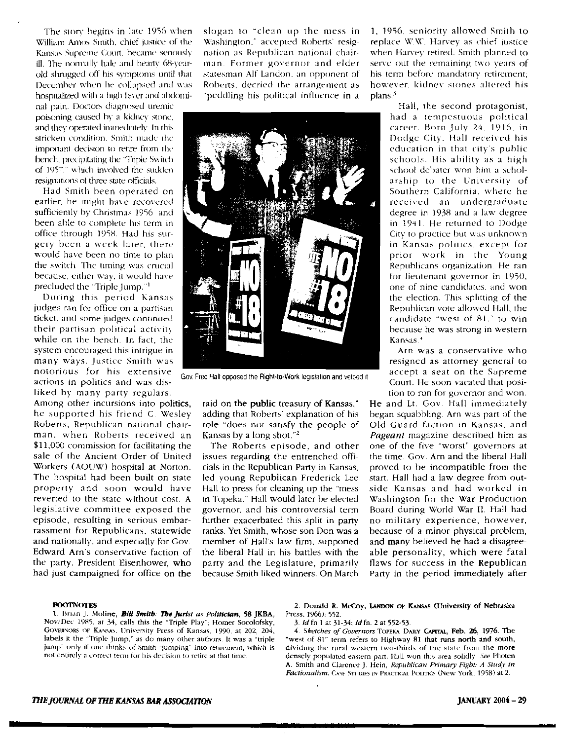The story begins in late 1956 when William Amos Smith, chief justice of the Kansas Supreme Court, became senously ill. The normally hale and hearty 68-yearold shrugged off his symptoms until that December when he collapsed and was hospitalized with a high fever and abdomi-

nal pain. Doctors diagnosed uremic poisoning caused hy a kidney Slone, and they operated immediately. In this stricken condition. Smith nude the important decision to retire from the bench. precipitating the 'Triple Swilch of 1957," which involved the suddenresignations of three state officials.

Had Smith been operated on earlier. he might have recovered sufficiently by Christmas 1956 and been able to complete his term in office through 1958. Had his surgery been a week later. there would have been no time to plan the switch. The timing was crucial because, either wav, it would have precluded the "Triplc jump."'

During this period Kansas judges ran for office on a partisan ticket, and some judges continued their partisan political activity while on the bench. In fact, the system encouraged this intrigue in many ways. Justice Smith was notorious for his extensive actions in politics and was disliked by many party regulars.

Among other incursions into politics, hc supported his friend C Wesley Roberts, Republican national chairman. when Robens received an \$11,000 commission for facilitating the sale of the Ancient Order of United Workers (AOUW) hospital at Norton. The hospital had been built on state property and soon would have reverted to the state without cost. A legislative committee exposed the episode, resulting in serious embarrassment for Republicans. statewide and nationally, and especially for Gov. Edward Arns conservative faction of the party, President Eisenhower, who had just campaigned for office on the

slogan to "clean up the mess in \X.';lshington." accepted Roberts: resignation as Republican national chairman Former governor and elder statesman Alf Landon, an opponent of Roberts, decried the arrangement as "peddling his political influence in a



Gov. Fred Halt opposed the Right-to-Work legislation and vetoed It

raid on the public treasury of Kansas," adding that Roberts' explanation of his role "does not satisfy the people of Kansas by a long shot."<sup>2</sup>

The Roberts episode, and other issues regarding the entrenched officials in the Republican Party in Kansas, led young Republican Frederick Lee Hall to press for cleaning up the "mess in Topeka." Hall would later be elected governor. and his controversial term further exacerbated this split in party ranks. Yet Smith, whose son Don was a member of Hall's law firm, supported the liberal Hall in his battles with the party and the Legislature, primarily because Smith liked winners, On March 1. 1956. seniority allowed Smith to replace W.W. Harvey as chief justice when Harvey retired. Smith planned to serve out the remaining two years of his term before mandatory retirement; however, kidney stones altered his plans.'

> Hall, the second protagonist, had a tempestuous political career. Born July 24, 1916, in Dodge City. Hall received his education in that city's puhlic schools. His ability as a high school debater won him a scholarship to the University of Southern California. where he received an undergraduate degree in 193R and a law degree in 1941 He returned to Dodge City 10 practice but was unknown in Kansas politics, except for prior work in the Young Republicans organization He ran for lieutenant governur in 1950. one of nine candidates. and won the election. This splitting of the Republican vote allowed Hall. the candidate "west of 81." to win because he was strong in western Kansas."

Arn was a conservative who resigned as attorney general to accept a seat on the Supreme Court. He soon vacated that position to run for governor and won.

He and Lt. Gov. Hall immediately began squabbling Arn was part of the Old Guard faction in Kansas. and *Pageant* magazine descrihed him as one of the five "worst" governors at the time. Gov. Am and the liberal Hall proved to be incompatible from the start. Hall had a law degree from outside Kansas and had worked in Washington for the War Production Board during World War II. Hall had no military experience, however, because of a minor physical problem, and many believed be had a disagreeable personality, which were fatal flaws for success in the Republican Party in the period immediately after

## **FOOTNOTES**

1. Brian J. Moline, *Bill Smith: The Jurist as Politician*, **58 JKBA**, Press, 1966): 552.<br>DV/Dec 1985, at 34, calls this the "Triple Play": Homer Socolofsky, 3. *Id* fn 1 at 31-34; *Id* fn. 2 at 552-53. Nov/Dec 1985, at 34, calls this the "Triple Play": Homer Socolofsky, 3. Id fn 1 at 31-34; *Id* fn. 2 at 552-53.<br>GOVERNORS OF KANSAS, University Press of Kansas, 1990, at 202, 204, 4. Sketches of Governors TOPEKA DAILY CAPI GOVERNORS OF KANSAS, University Press of Kansas, 1990. at 202, 204, *4. Sketches of Governors* TOPEKA DALY CAPITAL, Feb. 26, 1976. The labels it the "Triple Jump," as do many other authors. It was a "triple "west of 81" te labels it the "Triple Jump," as do many other authors. It was a "triple jump" only if one thinks of Smith "jumping" into returnent, which is

2. Donald R. McCoy, LANDON OF KANSAS (University of Nebraska Press, 1966): 552.

jump" only if one thinks of Smith "jumping" into retirement, which is dividing the rural western two-thirds of the state from the more not entirely a correct term for his decision to retire at that time. densely populated eastern part. Hall won this area solidly See Photen A. Smith and Clarence J. Hcin, *Republican Primary Fight: A Study in*  Factionalism. CASE STUDES IN PRACTICAL POLITICS (New York. 1958) at 2.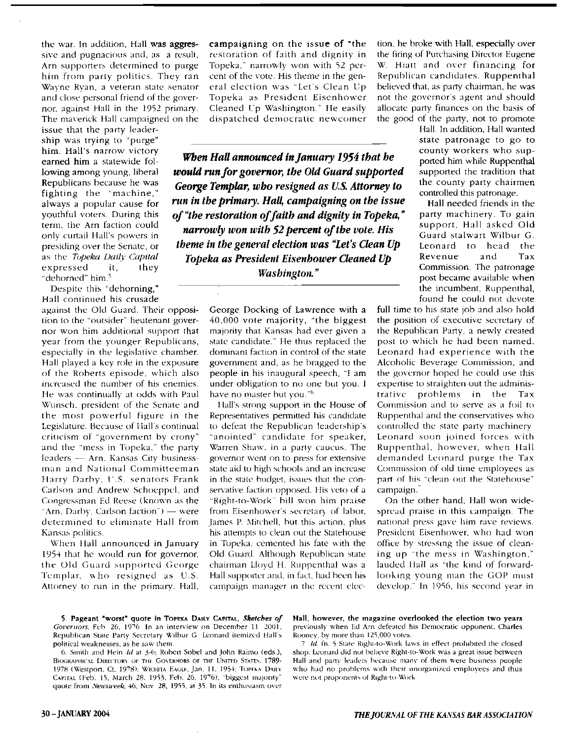the war. In addition, Hall was aggressive and pugnacious and, as a result, Arn supporters determined to purge him from parry politics. They ran Wayne Ryan, a veteran state senator and close personal friend of the governor. against Hall in the 1952 primary. The maverick Hall campaigned on the

issue that the party leadership was trying to "purge" him. Hall's narrow victory Republicans because he was fighting the 'machine," always a popular cause for youthful voters. During this term. the Arn faction could only curtail Hall's powers in presiding over the Senate, or as the *Topeka Daily Capital* expressed it, they "dehorned" him.'

Despite this "dehorning," Hall continued his crusade against the Old Guard. Their opposition to the "outsider" lieutenant governor won him additional support that year from the younger Republicans, especially in the legislative chamber. Hall played a key role in the exposure of the Roberts episode. which also increased the number of his enemies. He was continually at odds with Paul \X/unseh. president of the Senate and the most powerful figure in the Legislature. Because of Hall's continual criticism of "government by crony" and the "mess in Topeka." the party leaders - Arn. Kansas City businessman and National Committeeman Harry Darby, U.S. senators Frank Carlson and Andrew Schocppcl. and Congressman Ed Reese (known as the "Arn, Darby, Carlson faction")  $-$  were determined to eliminate Hall from Kansas politics.

When Hall announced in January 1954 that he would run for governor, the Old Guard supported George Templar, who resigned as U.S. Attorney to run in the primary. Hall. campaigning on the issue of "the restoration of faith and dignity in Topeka." narrowly won with 52 percent of the vote. His theme in the general election was "Let's Clean Up Topeka as President Eisenhower Cleaned Up Washington." He easily dispatched democratic newcomer

him. Hall's narrow victory<br>earned him a statewide fol-*When Hall announced in January 1954 that he* **county workers who sup-<br>lowing among young, liberal <b>***would run for governor, the Old Guard supported* supported the tra lowing among young, liberal *would run for governor, the Old Guard supported George Templar, who resigned as U.S. Attorney to run in the primary. Hall, campaigning on the issue*  of "the restoration of faith and dignity in Topeka," *narrowly won with* 52*percent ofthe vote. His theme in the general election was "Let's Clean Up Topeka as President Eisenhower Cleaned Up*  Washington."

> George Docking of Lawrence with a 40,000 vote majority, "the biggest majority that Kansas had ever given a state candidate." He thus replaced the dominant faction in control of the state government and, as he bragged to the people in his inaugural speech, "I am under obligation to no one but you. I have no master but you."<sup>6</sup>

> Hall's strong support in the House of Representatives permitted his candidate to defeat the Republican leadership's "anointed" candidate for speaker, Warren Shaw. in a party caucus. The governor went on to press for extensive state aid to high schools and an increase in the state budget, issues that the conservative faction opposed. His veto of a "Right-to-Work" hill won him praise from Eisenhower's secretary of labor, James P. Mitchell. hut this action. plus his attempts to clean out the Statehouse in Topeka. cemented his fate with the Old Guard. Although Republican state chairman Lloyd H. Ruppenthal was a Hall supporter and, in fact, had been his campaign manager in the recent elec

tion, he broke with Hall, especially over the firing of Purchasing Director Eugene W. Hiatt and over financing for Republican candidates. Ruppenthal believed that. as party chairman, he was not the governor's agent and should allocate party finances on the basis of the good of the party, not to promote

Hall. In addition, Hall wanted state patronage to go to ported him while Ruppenthal the county party chairmen controlled this patronage.

Hall needed friends in the party machinery. To gain support, Hall askcd Old Guard stalwart Wilbur G. Leonard to head the Revenue and Tax Commission. The patronage post became available when the incumbent, Ruppenthal, found he could not devote

full time to his state job and also hold the position of executive secretary of the Rcpublican Party, a newly created post to which he had been named. Leonard had experience with the Alcoholic Beverage Commission, and the governor hoped he could use this expertise to straighten out the administrative prohlems in the Tax Commission and to serve as a foil to Ruppenthal and the conservatives who controlled the state party machinery Leonard soon joined forces with Ruppenthal. however. when Hall demanded Leonard purge the Tax Commission of old time employees as part of his "clean out the Statehouse" campaign."

On the other hand, Hall won widespread praise in this campaign. The national press gave him rave reviews. President Eisenhower, who had won office by stressing the issue of cleaning up "the mess in Washington." lauded Hall as "the kind of forwardlooking young man the GOP must develop." In 1956, his second year in

5. Pageant "worst" quote in Topeka Dally Capital, *Sketches of* Hall, however, the magazine overlooked the election two years Governors, Feb 26, 1976. In an interview on December 11, 2001. previously when Ed Arn defeated h Republican State Party Secretary Wilbur G Leonard itemized Hall's political weaknesses, as he saw them. *7 Id.* fn. 5 State Right-to-Work laws in effect prohibited the closed

BIOGRAPHICAL DIRECTORY OF THE GOVERNORS OF THE UNITED STATES. 1789-Hall and party leaders because many of them were business people 1978 (Westport, Ct. 1978); WICHITA EAGLE, Jan. 11. 1954: TOPFNA DAIIY who had no problems CAPITAL (Feb. 15. March 28. 1953, Feb. 26. 1976), "biggest majority" quote from *Newsuveek*, 46, Nov 28, 1955, at 35. In its enthusiasm over

previously when Ed Arn defeated his Democratic opponent, Charles Rooney, by more than 125,000 votes.

6. Smith and Hein *Id* at 3-6: Robert Sobel and John Raimo (eds.), shop. Leonard did not beheve Right-to-Work was a great issue between who had no problems with their unorganized employees and thus<br>were not proponents of Right-to-Work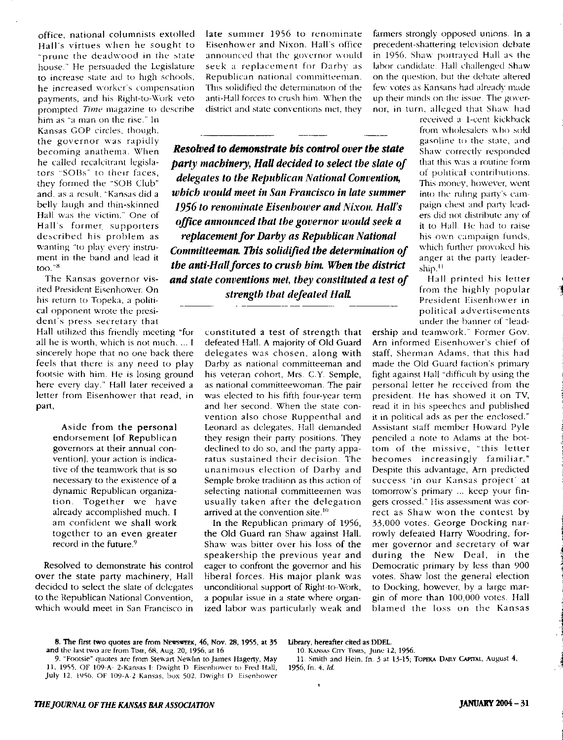office, national columnists extolled Hall's virtues when he sought to "prune the deadwood in the state house." He persuaded the Legislature to increase state aid to high schools, he increased worker's compensation payments, and his Right-to-work veto prompted Time magazine to describe

him as "a man on the rise." In Kansas GOP circles, though, the governor was rapidly<br>becoming anathema. When

ited President Eisenhower. On his return to Topeka, a political opponent wrote the president's press secretary that

Hall utilized this friendly meeting "for all he is worth, which is not much.... I sincerely hope that no one back there feels that there is any need to play footsie with him. He is losing ground here every day." Hall later received a letter from Eisenhower that read, in part.

Aside from the personal endorsement [of Republican governors at their annual convention], your action is indicative of the teamwork that is so necessary to the existence of a dynamic Republican organization. Together we have already accomplished much. I am confident we shall work together to an even greater record in the future.<sup>9</sup>

Resolved to demonstrate his control over the state party machinery. Hall decided to select the slate of delegates to the Republican National Convention, which would meet in San Francisco in late summer 1956 to renominate Eisenhower and Nixon. Hall's office announced that the governor would seek a replacement for Darby as Republican national committeeman. This solidified the determination of the anti-Hall forces to crush him. When the district and state conventions met, they

the general control when **Resolved to demonstrate bis control over the state** Shaw correctly responded he called recalcitrant legisla-<br>tors "SOBs" to their faces, *the street of the Peterlines Mational Compution* of political contributions. tors "SOBs" to their faces, *delegates to the Republican National Convention*, of political contributions.<br>they formed the "SOB Club" delegates to the Republican National Convention, This money, however, went and. as a result, "Kansas did a *which would meet in San Francisco in late summer* into the ruling party's cambelly laugh and thin-skinned **1956 to renominate Eisenhower and Nixon. Hall's** paign chest and party lead **1956** to **1956 to renominate Eisenhower and Nixon. Hall's** paign chest and party lead-<br>**1956 to renominate Eisenhow** Hall was the victim." One of **office announced that the governor would seek a** a set did not distribute any of thall. He had to raise described his problem as *replacement for Darby as Republican National* his own campaign funds, wanting "to play every instruwanting "to play every instru-<br>ment in the band and lead it **committeeman. This solidified the determination of** anger at the party leader-<br>too."<sup>8</sup> the anti-Hall forces to crush him. When the district The Kansas governor vis- and state conventions met, they constituted a test of Hall printed his letter *strength that defeated Hall* 

> constituted a test of strength that defeated Hall. A majority of Old Guard delegates was chosen, along with Darby as national committeeman and his veteran cohort, Mrs. C.Y. Semple, as national committeewoman. The pair was elected to his fifth four-year term and her second. When the state convention also chose Ruppenthal and Leonard as delegates, Hall demanded they resign their party positions. They declined to do so, and the party apparatus sustained their decision. The unanimous election of Darby and Semple broke tradition as this action of selecting national committeemen was usually taken after the delegation arrived at the convention site.<sup>10</sup>

In the Republican primary of 1956. the Old Guard ran Shaw against Hall. Shaw was bitter over his loss of the speakership the previous year and eager to confront the governor and his liberal forces, His major plank was unconditional support of Right-to-Work. a popular issue in a state where organized labor was particularly weak and

farmers strongly opposed unions. In a precedent-shattering television debate in 1956. Shaw portrayed Hall as the labor candidate. Hall challenged Shaw on the question, but the debate altered few votes as Kansans had already made up their minds on the issue. The gove-rnor, in turn, alleged that Shaw had

> received a 1-cent kickback from wholesalers who sold gasoline to the state, and

> from the highly popular President Eisenhower in political advertisements under the banner of "lead-

ership and teamwork." Former Gov. Arn informed Eisenhower's chief of staff, Sherman Adams, that this had made the Old Guard faction's primary fight against Hall "difficult by using the personal letter he received from the president. He has showed it on TV, read it in his speeches and published it in political ads as per the enclosed," Assistant staff member Howard Pyle penciled a note to Adams at the hottom of the missive, "this letter becomes increasingly familiar." Despite this advantage, Arn predicted success 'in our Kansas project' at tomorrow's primary ... keep your fingers crossed." His assessment was correct as Shaw won the contest by 33.000 votes, George Docking narrowly defeated Harry Woodring. former governor and secretary of war during the New Deal. in the Democratic primary by less than 900 votes. Shaw lost the general election to Docking, however, by a large margin of more than 100,000 votes, Hall blamed the loss on the Kansas

8. The first two quotes are from NEWSWEEK, 46, Nov. 28, 1955, at 35 Library, hereafter cited as DDEL.<br>d the last two are from TIME, 68, Aug. 20, 1956, at 16 10. KANSAS CITY TIMES, June 12, 1956. and the last two are from Times, 68, Aug. 20, 1956, at 16 10. KANSAS CITY TIMES, June 12, 1956.<br>9. "Footsie" quotes are from Stewart Newlin to James Hagerty, May 11. Smith and Hein, fn. 3 at 13-15; Topeka Dally Capital, Au

9. "Footsie" quotes are from Stewart Newlm to James Hagerty, May 1], 19'5'5, OF 109-A- z-Kansas I: Dwight D Eisenhower to Fred Hall, 1956. fn. 4, *Id.*  July 12, 1956. OF 109-A-2 Kansas, box 502. Dwight D Eisenhower

j<br>j  $\sim$  ,  $\sim$ j j ,

j. .~ . J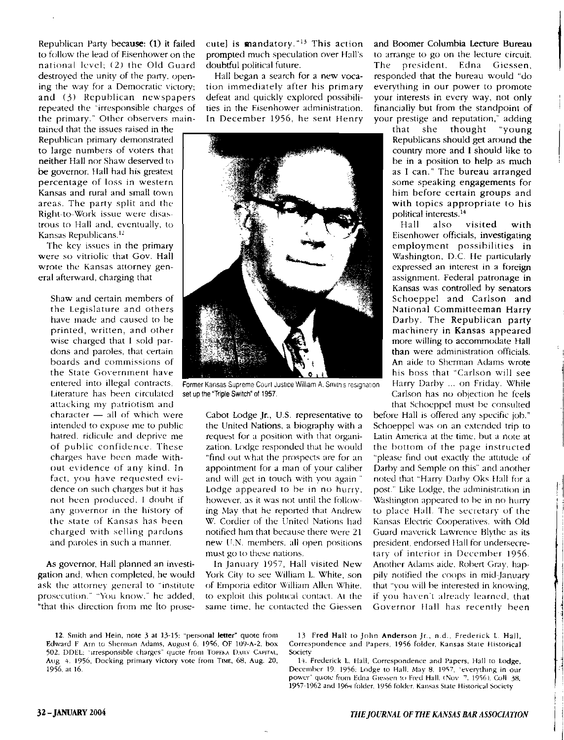Republican Party because: (I) it failed to follow the lead of Eisenhower on the national level; (2) the Old Guard destroyed the unity of the party, opening the way for a Democratic victory; and (3) Republican newspapers repeated the "irresponsible charges of the primary." Other observers main-

tained that the issues raised in the Republican primary demonstrated to large numbers of voters that neither Hall nor Shaw deserved to be governor. Hall had his greatest percentage of loss in western Kansas and rural and small town areas, The party split and the Right-to-Work issue were disastrow; to Hall and, eventually, to Kansas Republicans.<sup>12</sup>

The key issues in the primary were so vitriolic that Gov. Hall wrote the Kansas attorney general afterward, charging that

Shaw and certain members of the Legislature and others have made and caused to be printed, written, and other wise charged that I sold pardons and paroles, that certain boards and commissions of the State Government have entered into illegal contracts. Literature has been circulated attacking my patriotism and  $character - all of which were$ intended to expose me to public hatred, ridicule and deprive me of public confidence. These charges have been made Without evidence of any kind. In fact, you have requested evidence on such charges hut it has not been produced. I doubt if any governor in the history of the state of Kansas has heen charged with selling pardons and paroles in such a manner.

As governor. Hall planned an investigation and, when completed, he would ask the attorney general to "institute prosecution." "You know," he added, "that this direction from me [to prosecute] is mandatory. "13 This action prompted much speculation over Hall's doubtful political future,

Hall began a search for a new vocation immediately after his primary defeat and quickly explored possibilities in the Eisenhower administration. In December 1956, he sent Henry



Former Kansas Supreme Court Justice William A. Smith's resignation set up the "Triple Switch" of 1957.

Cabot Lodge jr, U.S. representative to the United Nations, a biography with a request for a position with that organization. Lodge responded that he would "find out what the prospects are for an appointment for a man of your caliher and will get in touch with you again' Lodge appeared to be in no hurry. however, as it was not until the following May that he reported that Andrew W. Cordier of the United Nations had notified him that because there were 21 new U.N. members, all open positions must go to these nations.

In January 1957, Hall visited New York City to see William L. White, son of Emporia editor William Allen White. to exploit this polrucal contact. At the same time. he contacted the Giessen and Boomer Columbia Lecture Bureau to arrange to go on the lecture circuit. The president. Edna Giessen, responded that the bureau would "do everything in our power to promote your interests in every way, not only financially but from the standpoint of your prestige and reputation," adding<br>that she thought "young

thought Republicans should get around the country more and I should like to be in a position to help as much as I can." The bureau arranged some speaking engagements for him before certain groups and with topics appropriate to his political interests.<sup>14</sup><br>Hall also

also visited with Eisenhower officials, investigating employment possibilities in Washington, D.C. He particularly expressed an interest in a foreign assignment. Federal patronage in Kansas was controlled by senators Schoeppel and Carlson and National Committeeman Harry Darby, The Republican party machinery in Kansas appeared more willing to accommodate Hall than were administration officials. An aide to Sherman Adams wrote his boss that "Carlson will see Harry Darby ... on Friday. While Carlson has no objection he feels

that Schoeppel must he consulted before Hall is offered any specific job." Schoeppel was on an extended trip to Latin America at the time. but a note at the bottom of the page instructed "please find out exactly the attitude of Darby and Semple on this" and another noted that "Harry Darhy Oks Hall for a post." Like Lodge, the administration in Washington appeared to he in no hurry to place Hall. The secretary of the Kansas Electric Cooperatives. with Old Guard maverick Lawrence Blythe as its president, endorsed Hall for undersecretary of interior in December 1956. Another Adams aide. Robert Gray, happily notified the coops in mid-January that "vou will he interested in knowing, if you haven't already learned, that Governor Hall has recently been

وستطاعت فالمقالسات

 $\frac{1}{4}$ 

j

Correspondence and Papers, 1956 folder, Kansas State Historical Society

December 19. 1956: Lodge to Hall. May 8. 1957, "everything in our power" quote from Edna Giessen to Fred Hall. (Nov 7, 1956). Coli 38, 1957-1962 and 1964 folder. 1956 folder. Kansas State Historical Society

<sup>12.</sup> Smith and Hein, note 3 at 13-15; "personal letter" quote from 13 Fred Hall to John Anderson Jr., n.d., Frederick L. Hall, Edward F Arn to Sherman Adams, August 6, 1956, OF 109-A-2, box Correspondence and Papers, 1956 f 502. DDEL: "irresponsible charges" quote from TOPENA DAILY CAPITAL, Aug 4, 1956, Docking primary victory vote from TIME, 68, Aug. 20, 14. Frederick L. Hall, Correspondence and Papers, Hall to Lodge, 1956, at 16. 1956; at 16.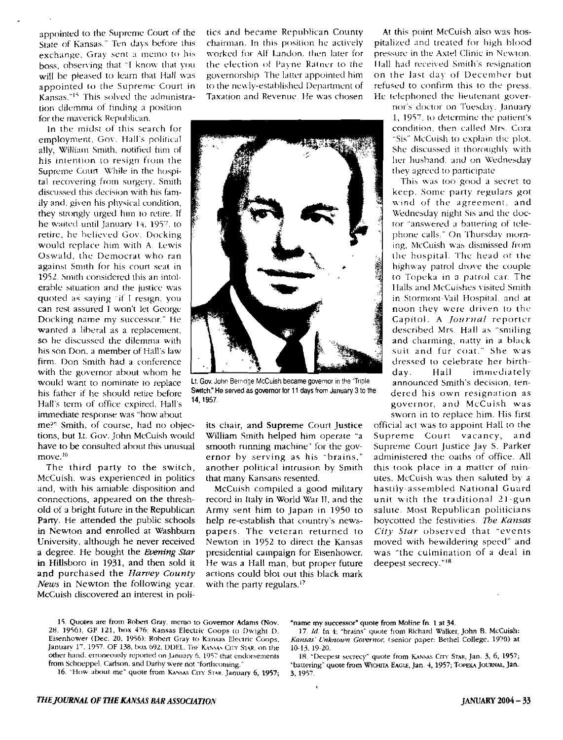appointed to the Supreme Court of the State of Kansas." Ten days before this exchange. Gray sent a memo to his boss, observing that "1 know that you will be pleased to learn that Hall was appointed to the Supreme Court in Kansas."<sup>15</sup> This solved the administration dilemma of finding a position for the maverick Republican.

In the midst of this search for employment. Gov. Hall's political ally, William Smith, notified him of his intention to resign from the Supreme Court While in the hospital recovering from surgery. Smith discussed this decision with his family and, given his physical condition. they strongly urged him to retire. If he waited until January 14, 1957, to retire, he believed Gov. Docking would replace him with A. Lewis Oswald, the Democrat who ran against Smith for his court seat in 1952. Smith considered this an intolerable situation and the justice was quoted as saying "if I resign. you can rest assured I won't let George Docking name my successor." He wanted a liberal as a replacement, so he discussed the dilemma with his son Don. a member of Hall's law firm. Don Smith had a conference with the governor about whom he would want to nominate 10 replace his father if he should retire before Halls term of office expired. Hall's immediate response was "how about

me?'! Smith, of course, had no objections, but Lt. Gov. John McCuish would have to be consulted about this unusual move.<sup>16</sup>

The third party to the switch, McCuish, was experienced in politics and, with his amiable disposition and connections, appeared on the threshold of a bright future in the Republican Party. He attended the public schools in Newton and enrolled at Wasbburn University, although he never received a degree. He bought the Evening Star in Hillsboro in 1931, and then sold it and purchased the Harvey County *News* in Newton the following year. McCuish discovered an interest in politics and became Republican Coumy chairman. In this position he actively worked for Alf Landon. then later for the election of Payne Ratner to the governorship The latter appointed him to the newly-established Department of Taxation and Revenue. He was chosen



Lt.Gov. John Bemdge McCuish became governor inthe "Triple Switch." He served as governor for 11 days from January 3 to the 14,1957.

its chair, and Supreme Court justice William Smith helped him operate "a smooth running machine" for the governor by serving as his "brains," another political intrusion hy Smith that many Kansans resented.

McCuish compiled a good military record in Italy in World War II, and the Army sent him to Japan in 1950 to help re-establish that country's newspapers. The veteran returned to Newton in 1952 to direct the Kansas presidential campaign for Eisenhower. He was a Hall man, but proper future actions could blot out this black mark with the party regulars.<sup>17</sup>

At this point McCuish also was hospitalized and treated for high hlood pressure in the Axtel Clinic in Newton. Hall had received Smith's resignation on the last day of Decem her but refused to confirm this to the press. He telephoned the lieutenant gover-

nor's doctor on Tuesday . january 1, 1957, to determine the patient's condition, then called Mrs. Cora "Sis" Mcc.uish to explain the plot. She discussed it thoroughly with her husband, and on Wednesday they agreed to participate

This was too good a secret to keep. Some' party regulars got wind of the agreement, and Wednesday night Sis and the doctor "answered a battering of telephone calls." On Thursday morning, McCuish was dismissed from the hospital. The head of the highway patrol drove the couple to Topeka in a patrol car. The IIalls and McCuishes visited Smith in Stormont-Vail Hospital, and at noon they were driven to the Capitol. A *Journal* reporter described Mrs. Hall as "smiling and charming, natty in a black suit and fur coat." She was dressed 10 celebrate her birthday. Hall immediately announced Smith's decision, tendered his own resignation as governor, and McCuish was sworn in to replace him. His first

official act was to appoint Hall to (he Supreme Court vacancy, and Supreme Court justice jay S. Parker administered the oaths of office. All this took place in a matter of minutes. McCuish was then saluted by a hastily-assembled National Guard unit with the traditional 21-gun salute. Most Republican politicians boycotted the festivities. *The Kansas City Star observed that "events* moved with bewildering speed" and was "the culmination of a deal in deepest secrecy."<sup>18</sup>

15. Quotes are from Robert Gray, memo to Governor Adams (Nov. "name my successor" quote from Moline fn. 1 at 34. 28, 1956), GF 121, box 476; Kansas Electric Coops to Dwight D. 17. Id. fn 4: "brains" quote from Richard Walker, John B. McCuish: Eisenhower (Dec. 20, 1956); Robert Gray to Kansas Electric Coops, Kansas Unknown Governor, ( January 17, 1957. OF 138, box 692, DDEL. THE KANSAN CITY STAR, on the 10-13, 19-20. other hand, erroneously reported on January 6, 1957 that endorsements 18. "Deep other hand. erroneously reponed on January 6. 1957 that endorsements 18. "Deepest secrecy" quote from KANSAS CITY STAR, Jan. 3, 6, 1957; from Schoeppel, Carlson. and Darby were not "forthcoming." "battering" quote from Wic

16. "How about me" quote from KANSAS CITY STAR. January 6, 1957;

Kansas<sup>.</sup> Unknown Governor, (senior paper: Bethel College. 1970) at

"battering" quote from WICHITA EAGLE, Jan. 4, 1957; TOPEKA JOURNAL, Jan. 3, 1957.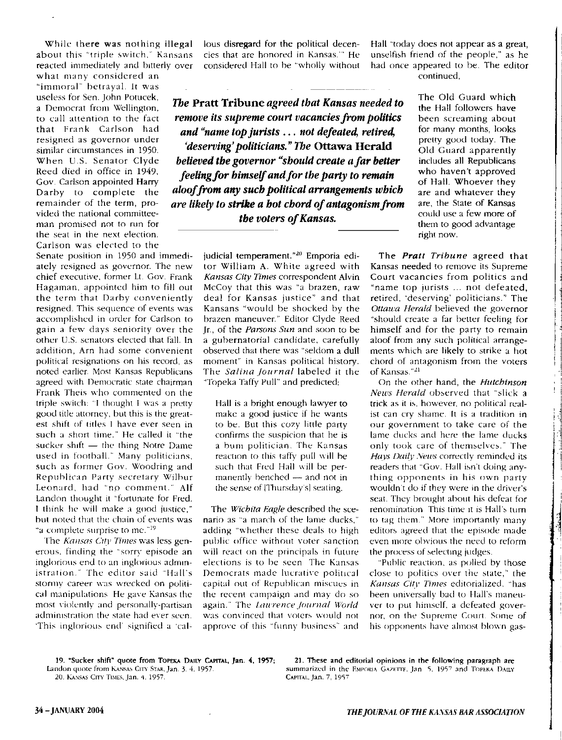what many considered an "immoral" betrayal. It was useless for Sen. John Potucek, vided the national committeeman promised not to run for the seat in the next election. Carlson was elected to the

Senate position in 1950 and immediately resigned as governor. The new chief executive, former Lt. Gov. Frank Hagaman, appointed him to fill out the term that Darby conveniently resigned. This sequence of events was accomplished in order for Carlson to gain a few days seniority over the other U.5. senators elected that fall. In addition, Arn had some convenient political resignations on his record, as noted earlier. Most Kansas Republicans agreed with Democratic state chairman Frank Theis who commented on the triple switch: "I thought I was a pretty good title attorney, but this is the greatest shift of titles I have ever seen in such a short time." He called it "the sucker shift  $-$  the thing Notre Dame used in football." Many politicians. such as former Gov. Woodring and Republican Party secretary Wilbur Leonard, had "no comment." Alf Landon thought it "fortunate for Fred, I think he will make a good justice," but noted that the chain of events was "a complete surprise to me."<sup>19</sup>

The *Kansas City Times* was less generous. finding the "sorry episode an inglorious end to an inglorious administration." The editor said "Hall's stormy career was wrecked on political manipulations He gave Kansas the most viok-ntlv and personally-partisan administration the state had ever seen. 'This inglorious end' signified a 'cal-

While there was nothing illegal lous disregard for the political decenabout this "triple switch," Kansans cies that are honored in Kansas."" He reacted immediately and bitterly over considered Hall to be "wholly without

a Democrat from Wellington, **The Pratt Tribune** *agreed that Kansas needed to* **the Hall followers have** a Democrat from Wellington, to Gill attention to the fact *remove its supreme court vacancies from politics* been screaming about that Frank Carlson had **and "name top jurists... not defeated, retired,** for many months, looks resigned as governor under **and "name top jurists... not defeated, retired,** for many months, looks resigned as governor under When U.S. Senator Clyde *believed the governor "should create a far better* includes all Republicans<br>Reed died in office in 1949, *coling for himself and for the barty to romain* who haven't approved Reed died in office in 1949, *feeling for himself and for the party to remain* who haven't approved Gov. Carlson appointed Harry **feeling for himself and for the party to remain** of Hall. Whoever they Darby to complete the **aloof from any such political arrangements which** are and whatever they remainder of the term, pro-<br>vided the national committee-<br>the waters of *Kansas*<br> $\frac{1}{2}$  *knowled the state of Kansas*<br>could use a few more of **the voters of Kansas. the voters of Kansas. the use a few more of** them to good advantage

> judicial temperament."<sup>20</sup> Emporia editor William A. White agreed with *Kansas City Times* correspondent Alvin McCoy that this was "a brazen, raw deal for Kansas justice" and that Kansans "would be shocked by the brazen maneuver." Editor Clyde Reed jr. of the *Parsons Sun* and soon to be a gubernatorial candidate, carefully observed that there was "seldom a dull moment" in Kansas political history, The *Salina Journal* labeled it the "Topeka Taffy Pull" and predicted:

Hall is a bright enough lawyer to make a good justice if he wants to be. But this cozy little party confirms the suspicion that he is a hum politician, The Kansas reaction to this taffy pull will be such that Fred Hall will be permanently benched  $-$  and not in the sense of [Thursday's] seating.

The *Wichita Eagle* described the scenario as "a march of the lame ducks," adding "whether these deals to high public office without voter sanction will react on the principals in future elections is to he seen The Kansas Democrats made lucrative political capital out of Republican miscues in the recent campaign and may do so again." The *Laurence Journal World* was convinced that voters would not approve of this "funny business" and Hall "today does not appear as a great, unselfish friend of the people," as he had once appeared to be. The editor continued,

> The Old Guard which right now,

I i

 $\overline{\phantom{a}}$  $\frac{1}{3}$ ! I i

 $\begin{array}{c} \begin{array}{c} \begin{array}{c} \begin{array}{c} \end{array} \\ \begin{array}{c} \end{array} \end{array} \end{array} \end{array}$ i

The *Pratt Tribune* agreed that Kansas needed to remove its Supreme Court vacancies from politics and "name top jurists ... not defeated, retired, 'deserving' politicians." The *Ottawa Herald* believed the governor "should create a far better feeling for himself and for the party to remain aloof from any such political arrangements which are likely to strike a hot chord of antagonism from the voters of Kansas. "21

On the other hand, the *Hutchinson News Herald* observed that "slick a trick as it is, however, no political realist can cry shame. It is a tradition in our government to take care of the lame ducks and here the lame ducks only took care of themselves." The Hays Daily News correctly reminded its readers that "Gov. Hall isn't doing anything opponents in his own party wouldn't do if they were in the driver's seat. They brought about his defeat for renomination This time it is Hall's turn to tag them." More importantly many editors agreed that the episode made even more obvious the need to reform the process of selecting judges.

"Public reaction. as polled by those close to politics over the state," the *Kansas Citv Times* editorialized, "has been universally bad to Hall's maneuver to put himself, a defeated governor, on the Supreme Court. Some of his opponents have almost blown gas-

20. KANSAS CITY TIMES, Jan. 4, 1957.

19, "Sucker shift" quote from TOPEKA DAILY CAPITAL, Jan. 4, 1957; 21. These and editorial opinions in the following paragraph are<br>Landon quote from KANSAS CITY STAR, Jan. 3, 4, 1957. Summarized in the EMPORIA GAZETTE. Jan. summarized in the EMPORIA GAZETTE, Jan. 5, 1957 and TOPEKA DAILY CAPITAL, Jan. 7, 1957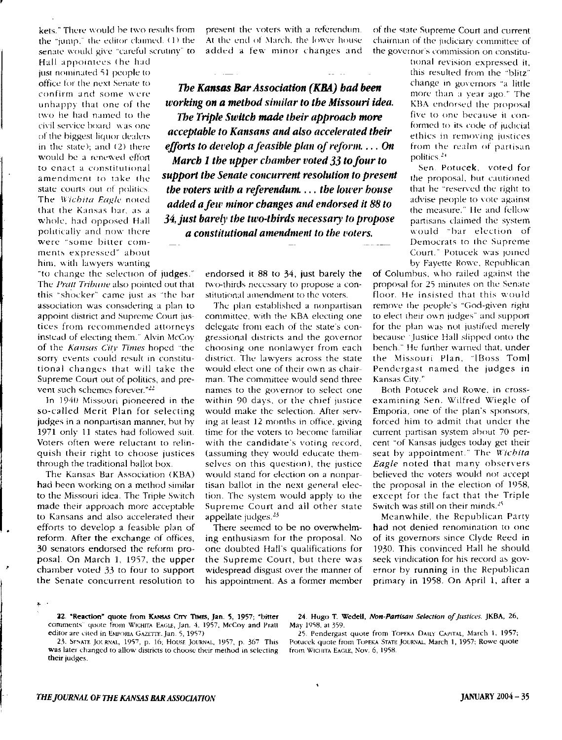the "jump," the editor claimed. (1) the At the end of March, the lower house chairman of the judiciary committee of

pohtically and now there *a constitutional amendment to the voters.*<br>were "some bitter comments expressed" about him, with lawyers wanting

"to change the selection of judges." The Pratt Tribune also pointed out that this "shocker" came just as "the bar association was considering a plan 10 appoint district and Supreme Court justices from recommended attorneys instead of electing them." Alvin McCoy' of the *Kansas Citv Times* hoped ··the sorry events could result in constitutional changes that will take the Supreme Court out of politics, and prevent such schemes forever."<sup>22</sup>

In 1940 Missouri pioneered in the so-called Merit Plan for selecting judges in a nonpartisan manner, but by 1971 only 11 states had followed suit. Voters often were reluctant to relinquish their right to choose justices through the traditional ballot box.

The Kansas Bar Association (KBA) had been working on a method similar to the Missouri idea, The Triple Switch made their approach more acceptable to Kansans and also accelerated their efforts to develop a feasible plan of reform. After the exchange of offices, 30 senators endorsed the reform proposal. On March 1, 1957, the upper chamber voted 33 to four to support the Senate concurrent resolution to

senate would give "careful scrutiny" to added a few minor changes and the governor's commission on constitu-

office for the next Senate to **The Kansas Bar Association (KBA) had been** change in governors "a little confirm and some were **The Kansas Bar Association (KBA) had been** chan a year ago." The unhappy that one of the *working on a method similar to the Missouri idea***.** KBA endorsed the proposal two he had named to the *The Trinle Suitch made their antiroach more* <sup>five</sup> to one because it con two he had named to the **five to one because it concerns the five to one because it concerns the five to one because it concerns the** *The Triple Switch made their approach more* **<b>formed** to its code of judicial cof-independent was one *acceptable to Kansans and also accelerated their build to its code of paddicial* of the biggest liquor dealers *acceptable to Kansans and also accelerated their* ethics in removing justices in the state); and (2) there *efforts to develop a feasible plan of reform.***... On** from the realm of partisan would be a renewed effort *March 1 the upper chamber roted* 33 to four to **politics**.<sup>24</sup> would be a renewed effort *March 1 the upper chamber voted* **33** *to four to* **<b>politics.<sup>24</sup>** to enact a constitutional the sene of the upper examed role of sene of sen. Potucek, voted for **So chace a commentument of support the Senate concurrent resolution to present** the proposal, but cautioned state courts out of politics. *the voters with a referendum.... the lower house* that he "reserved the right to The *Wichita Eagle* noted added a faw minor changes and andonsed it **99 to** advise people to vote against The *wiching eagle* noted **added a few minor changes and endorsed it 88 to** advise people to vote against that the Kansas har, as a the measure," He and fellow whole, had opposed Hall **34, just barely the two-thirds necessary to propose** partisans claimed the system

> endorsed it 88 to 34, just barely the two-thirds necessary to propose a constitutional amendment to the voters.

> The plan established a nonpartisan committee, with the KBA electing one delegate from each of the state's congressional districts and the governor choosing one nonlawyer from each district. The lawyers across the state would elect one of their own as chairman. The committee would send three names to the governor to select one within 90 days, or the chief justice would make the selection. After serving at least 12 months in office, giving time for the voters to become familiar with the candidate's voting record, (assuming they would educate themselves on this question), the justice would stand for election on a nonpartisan ballot in the next general election. The system would apply to the Supreme Court and all other state appellate judges.<sup>23</sup>

> There seemed to be no overwhelming enthusiasm for the proposal. No one doubted Hall's qualifications for the Supreme Court, but there was widespread disgust over the manner of his appointment. As a former member

kets." There would be two results from present the voters with a referendum. Tof the state Supreme Court and current<br>the "jump." the editor claimed. (1) the TAT the end of March, the lower house Tchairman of the judiciary

Hall appointees (he had under the had under the mail revision expressed it, just nominated 51 people to the total this resulted from the "blitz"

> would "bar election of Democrats to the Supreme Court." Potucek was joined by Fayette Rowe. Republican

of Columbus, who railed against the proposal for 25 minutes on the Senate floor. He insisted that this would remove the people's "God-given right to elect their own judges" and support for the plan was not justified merely because Justice Hall slipped onto the bench." He further warned that, under the Missouri Plan, "IBoss Toml Pendergast named the judges in Kansas City."

Both Potucek and Rowe, in crossexamining Sen. Wilfred Wiegle of Emporia, one of the plan's sponsors, forced him to admit that under the current partisan system about 70 percent "of Kansas judges today get their seat by appointment." The *Wichita Eagle* noted that many observers believed the voters would not accept the proposal in the election of 1958, except for the fact that the Triple Switch was still on their minds.<sup>25</sup>

Meanwhile, the Republican Party had not denied renomination to one of its governors since Clyde Reed in 1930. This convinced Hall he should seek vindication for his record as governor by running in the Republican primary in 1958. On April 1, after a

**22. "Reaction" quote from KANSAS Crry Times, Jan. 5, 1957; "bitter 24. Hugo T. Wedell,** *Non-Partisan Selection of Justices***. JKBA, 26, menents" quote from Wichma EaGLE, Jan. 4. 1957, McCoy and Pratt May 1958, at 359.** 

editor are cited in EMPORIA GAZETTE. Jan. 5, 1957;<br>23. SENATE JOURNAL, 1957, p. 16; HOUSE JOURNAL, 1957, p. 367 This Potucek quote from TOPEKA STATE JOURNAL, March 1, 1957; Rowe quote Potucek quote from TOPEKA STATE JOURNAL, March 1, 1957; Rowe quote

comments<sup>-</sup> quote from WICHITA EAGLE, Jan. 4, 1957, McCoy and Pratt editor are cited in EMPORIA GAZETTE, Jan. 5, 1957).

was later changed to allow districts to choose their method in selecting from WICHITA EAGLE, Nov. 6, 1958. their judges.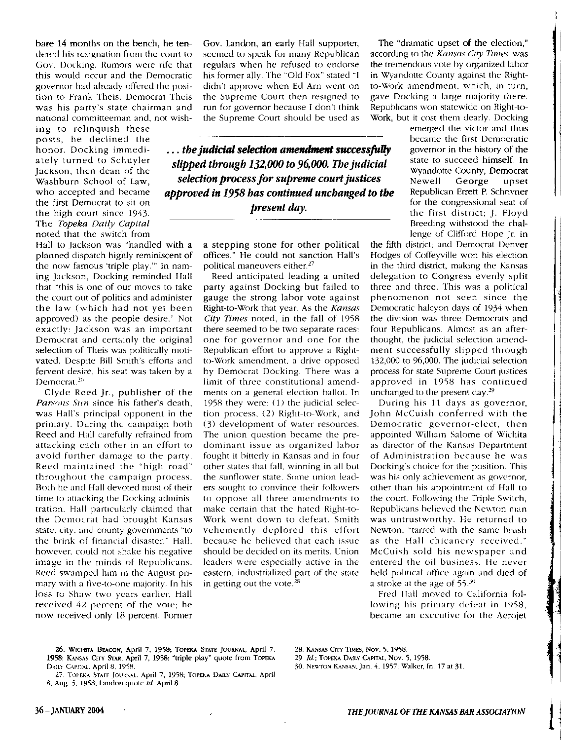bare 14 months on the bench, he tendered his resignation from the court to Gov. Docking. Rumors were rife that this would occur and the Democratic governor had already offered the position to Frank Theis. Democrat Theis was his party's state chairman and national committeeman and, not wish-

ing to relinquish these posts, he declined the honor. Docking immediately turned to Schuyler Jackson, then dean of the Washburn School of Law, who accepted and became the first Democrat to sit on the high court since 1943. The *Topeka Daily Capital*  noted that the switch from

Hall to Jackson was "handled with a planned dispatch highly reminiscent of the now famous 'triple play." In naming Jackson, Docking reminded Hall that "this is one of our moves to take the court out of politics and administer the law (which had not yet been approved) as the people desire." Not exactly: Jackson was an important Democrat and certainly the original selection of Theis was politically motivated. Despite Bill Smith's efforts and fervent desire, his seat was taken by a Democrat.<sup>26</sup>

Clyde Reed jr., publisher of the *Parsons Sun* since his father's death, was Hall's principal opponent in the primary. During the campaign both Reed and Hall carefully refrained from attacking each other in an effort to avoid further damage to the party. Reed maintained the "high road" throughout the campaign process. Roth he and Hall devoted most of their time to attacking the Docking administration. Hall particularly claimed that the Democrat had brought Kansas state. city. and county governments "to the brink of financial disaster." Hall. however, could not shake his negative image in the minds of Republicans. Reed swamped him in the August primary with a five-to-one majority. In his loss to Shaw two years earlier. Hall received 42 percent of the vote; he now received only 18 percent. Former Gov. Landon, an early Hall supporter, seemed to speak for many Republican regulars when he refused to endorse his former ally. The "Old Fox" stated "I didn't approve when Ed Arn went on the Supreme Court then resigned to run for governor because I don't think the Supreme Court should be used as

... the judicial selection amendment successfully *slipped through 132,000to 96,000. The judicial selection process for supreme court justices approved in* 1958 *has continued unchanged to the present day.* 

> a stepping stone for other political offices." He could not sanction Hall's political maneuvers either.<sup>27</sup>

> Reed anticipated leading a united party against Docking but failed to gauge the strong lahar vote against Right-to-Work that year. As the *Kansas City Times* noted, in the fall of 1958 there seemed to be two separate races: one for governor and one for the Republican effort to approve a Rightto-Work amendment. a drive opposed by Democrat Docking. There was a limit of three constitutional amendments on a general election ballot. In 1958 they were, (1) the judicial selection process. (2) Right-to-Work, and (3) development of water resources. The union question became the predominant issue as organized lahor fought it bitterly in Kansas and in four other states that fall. Winning in all but the sunflower state. Some union leaders sought to convince their followers to oppose all three amendments to make certain that the hated Right-to-Work went down to defeat. Smith vehemently deplored this effort because he believed that each issue should be decided on its merits. Union leaders were especially active in the eastern, industrialized part of the state in getting out the vote. $28$

The "dramatic upset of **the** election," according to the *Kansas City Times.* was the tremendous vote hy organized labor in Wyandotte County against the Rightto-Work amendment, which, in turn, gave Docking a large majority there. Republicans won statewide on Right-to-Work, but it cost them dearly. Docking

> emerged the victor and thus became the first Democratic governor in the history of the state to succeed himself. In Wyandotte County, Democrat Newell George upset Republican Errett P. Schrivner for the congressional seat of the first district; J. Floyd Breeding withstood the challenge of Clifford Hope Jr. in

the fifth district: and Democrat Denver Hodges of Coffeyville won his election in the third district, making the Kansas delegation to Congress evenly split three and three. This was a political phenomenon not seen since the Democratic halcyon days of 1934 when the division was three Democrats and four Republicans. Almost as an afterthought, the judicial selection amendment successfully slipped through 132,000 to 96,000. The judicial selection process for state Supreme Court justices approved in 1958 has continued unchanged to the present day.<sup>29</sup>

During his 11 days as governor, John McCuish conferred with the Democratic governor-elect, then appointed William Salome of Wichita as director of the Kansas Department of Administration because he was Docking's choice for the position. This was his only achievement as governor, other than his appointment of Hall to the court. Following the Triple Switch, Republicans believed the Newton man was untrustworthy. He returned to Newton, "tarred with the same brush as the Hall chicanery received." McCuish sold his newspaper and entered the oil business. lie never held political office again and died of a stroke at the age of  $55.^{30}$ 

Fred IIall moved to California following his primary defeat in 1958, became an executive for the Aerojet

- 26. WICHITA BEACON, April 7, 1958; TOPEKA STATE JOURNAL, April 7. 28. KANSAS Crrv TIMES, Nov. 5. 1958. 1958; KANSAS CITY STAR, April 7, 1958; "triple play" quote from TOPEKA *29 Id.;* TOPEKA DAILY CAPITAL, Nov. 5, 1958.<br>Daily Capital, April 8, 1958. **20 ld. 20 ld. 20 ld. 20 ld. 20 ld. 20 ld.** Sol. Newton Kansan, Jan. 4, 195
- 27. TOPEKA STAFF JOUKNAL. April 7, 1958; TOPEKA DAILY CAPITAL, April 8, Aug. 5. 1958; Landon quote *Id* April 8.
- 
- 
- 30. Newton Kansan, Jan. 4, 1957; Walker, fn. 17 at 31.

 $\mathbf{l}$ I